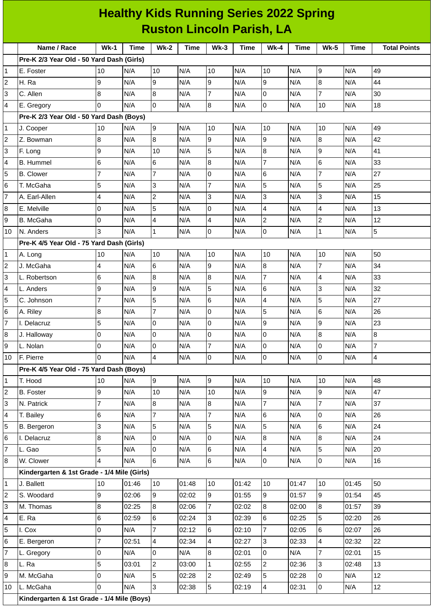|                                  | <b>Healthy Kids Running Series 2022 Spring</b> |                |       |                 |       |                     |             |                |             |                  |             |                     |
|----------------------------------|------------------------------------------------|----------------|-------|-----------------|-------|---------------------|-------------|----------------|-------------|------------------|-------------|---------------------|
| <b>Ruston Lincoln Parish, LA</b> |                                                |                |       |                 |       |                     |             |                |             |                  |             |                     |
|                                  | Name / Race                                    | $Wk-1$         | Time  | $Wk-2$          | Time  | $Wk-3$              | <b>Time</b> | $Wk-4$         | <b>Time</b> | <b>Wk-5</b>      | <b>Time</b> | <b>Total Points</b> |
|                                  | Pre-K 2/3 Year Old - 50 Yard Dash (Girls)      |                |       |                 |       |                     |             |                |             |                  |             |                     |
| 1                                | E. Foster                                      | 10             | N/A   | 10              | N/A   | 10                  | N/A         | 10             | N/A         | 9                | N/A         | 49                  |
| $\mathbf 2$                      | H. Ra                                          | 9              | N/A   | l9              | N/A   | 9                   | N/A         | 9              | N/A         | 8                | N/A         | 44                  |
| 3                                | C. Allen                                       | 8              | N/A   | 8               | N/A   | 7                   | N/A         | 0              | N/A         | $\overline{7}$   | N/A         | 30                  |
| 4                                | E. Gregory                                     | 0              | N/A   | l0              | N/A   | 8                   | N/A         | 0              | N/A         | 10               | N/A         | 18                  |
|                                  | Pre-K 2/3 Year Old - 50 Yard Dash (Boys)       |                |       |                 |       |                     |             |                |             |                  |             |                     |
| 1                                | J. Cooper                                      | 10             | N/A   | 9               | N/A   | 10                  | N/A         | 10             | N/A         | 10               | N/A         | 49                  |
| $\overline{c}$                   | Z. Bowman                                      | 8              | N/A   | 8               | N/A   | 9                   | N/A         | 9              | N/A         | $\boldsymbol{8}$ | N/A         | 42                  |
| 3                                | F. Long                                        | 9              | N/A   | 10              | N/A   | 5                   | N/A         | 8              | N/A         | 9                | N/A         | 41                  |
| 4                                | <b>B.</b> Hummel                               | 6              | N/A   | 6               | N/A   | 8                   | N/A         | $\overline{7}$ | N/A         | 6                | N/A         | 33                  |
| 5                                | <b>B.</b> Clower                               | $\overline{7}$ | N/A   | $\overline{7}$  | N/A   | 0                   | N/A         | 6              | N/A         | 7                | N/A         | 27                  |
| 6                                | T. McGaha                                      | 5              | N/A   | 3               | N/A   | 7                   | N/A         | 5              | N/A         | 5                | N/A         | 25                  |
| 7                                | A. Earl-Allen                                  | 4              | N/A   | $\overline{c}$  | N/A   | 3                   | N/A         | 3              | N/A         | 3                | N/A         | 15                  |
| 8                                | E. Melville                                    | 0              | N/A   | 5               | N/A   | 0                   | N/A         | 4              | N/A         | $\overline{4}$   | N/A         | 13                  |
| 9                                | B. McGaha                                      | 0              | N/A   | $\overline{4}$  | N/A   | 4                   | N/A         | $\overline{c}$ | N/A         | $\overline{c}$   | N/A         | 12                  |
| 10                               | N. Anders                                      | 3              | N/A   | $\mathbf{1}$    | N/A   | 0                   | N/A         | 0              | N/A         | $\mathbf{1}$     | N/A         | 5                   |
|                                  | Pre-K 4/5 Year Old - 75 Yard Dash (Girls)      |                |       |                 |       |                     |             |                |             |                  |             |                     |
| 1                                | A. Long                                        | 10             | N/A   | 10              | N/A   | 10                  | N/A         | 10             | N/A         | 10               | N/A         | 50                  |
| $\overline{c}$                   | J. McGaha                                      | 4              | N/A   | 6               | N/A   | 9                   | N/A         | $\bf{8}$       | N/A         | $\overline{7}$   | N/A         | 34                  |
| 3                                | L. Robertson                                   | $\,$ 6         | N/A   | 8               | N/A   | 8                   | N/A         | $\overline{7}$ | N/A         | $\overline{4}$   | N/A         | 33                  |
| 4                                | L. Anders                                      | 9              | N/A   | 9               | N/A   | 5                   | N/A         | 6              | N/A         | 3                | N/A         | 32                  |
| 5                                | C. Johnson                                     | $\overline{7}$ | N/A   | 5               | N/A   | 6                   | N/A         | 4              | N/A         | 5                | N/A         | 27                  |
| 6                                | A. Riley                                       | $\bf 8$        | N/A   | $\overline{7}$  | N/A   | 0                   | N/A         | 5              | N/A         | 6                | N/A         | 26                  |
| $\overline{7}$                   | I. Delacruz                                    | 5              | N/A   | O               | N/A   | 0                   | N/A         | 9              | N/A         | 9                | N/A         | 23                  |
| 8                                | J. Halloway                                    | $\mathsf 0$    | N/A   | lo              | N/A   | $\mathsf{O}\xspace$ | N/A         | $\overline{0}$ | N/A         | 8                | N/A         | $\, 8$              |
| 9                                | L. Nolan                                       | 0              | N/A   | l0              | N/A   | $\overline{7}$      | N/A         | 0              | N/A         | 0                | N/A         | $\overline{7}$      |
| 10                               | F. Pierre                                      | 0              | N/A   | $\overline{4}$  | N/A   | 0                   | N/A         | 0              | N/A         | $\overline{0}$   | N/A         | $\overline{4}$      |
|                                  | Pre-K 4/5 Year Old - 75 Yard Dash (Boys)       |                |       |                 |       |                     |             |                |             |                  |             |                     |
| $\mathbf{1}$                     | T. Hood                                        | 10             | N/A   | 9               | N/A   | 9                   | N/A         | $10\,$         | N/A         | 10               | N/A         | 48                  |
| $\mathbf 2$                      | <b>B.</b> Foster                               | 9              | N/A   | 10              | N/A   | 10                  | N/A         | 9              | N/A         | 9                | N/A         | 47                  |
| 3                                | N. Patrick                                     | $\overline{7}$ | N/A   | 8               | N/A   | 8                   | N/A         | $\overline{7}$ | N/A         | $\overline{7}$   | N/A         | 37                  |
| 4                                | T. Bailey                                      | 6              | N/A   | $\overline{7}$  | N/A   | $\overline{7}$      | N/A         | 6              | N/A         | 0                | N/A         | 26                  |
| 5                                | B. Bergeron                                    | 3              | N/A   | 5               | N/A   | 5                   | N/A         | 5              | N/A         | 6                | N/A         | 24                  |
| 6                                | I. Delacruz                                    | 8              | N/A   | Iо              | N/A   | 0                   | N/A         | 8              | N/A         | 8                | N/A         | 24                  |
| $\overline{7}$                   | L. Gao                                         | 5              | N/A   | lo              | N/A   | 6                   | N/A         | 4              | N/A         | 5                | N/A         | 20                  |
| 8                                | W. Clower                                      | 4              | N/A   | 6               | N/A   | 6                   | N/A         | 0              | N/A         | $\overline{0}$   | N/A         | 16                  |
|                                  | Kindergarten & 1st Grade - 1/4 Mile (Girls)    |                |       |                 |       |                     |             |                |             |                  |             |                     |
| $\mathbf{1}$                     | J. Ballett                                     | 10             | 01:46 | 10              | 01:48 | 10                  | 01:42       | 10             | 01:47       | 10               | 01:45       | 50                  |
| $\overline{c}$                   | S. Woodard                                     | 9              | 02:06 | 9               | 02:02 | 9                   | 01:55       | 9              | 01:57       | $\overline{9}$   | 01:54       | 45                  |
| 3                                | M. Thomas                                      | 8              | 02:25 | 8               | 02:06 | $\overline{7}$      | 02:02       | 8              | 02:00       | 8                | 01:57       | 39                  |
| 4                                | E. Ra                                          | 6              | 02:59 | $6\overline{6}$ | 02:24 | 3                   | 02:39       | 6              | 02:25       | 5                | 02:20       | 26                  |
| 5                                | I. Cox                                         | 0              | N/A   | $\overline{7}$  | 02:12 | 6                   | 02:10       | $\overline{7}$ | 02:05       | 6                | 02:07       | 26                  |
| 6                                | E. Bergeron                                    | $\overline{7}$ | 02:51 | $\overline{4}$  | 02:34 | 4                   | 02:27       | 3              | 02:33       | 4                | 02:32       | 22                  |
| 7                                | L. Gregory                                     | $\mathsf 0$    | N/A   | O               | N/A   | 8                   | 02:01       | $\overline{0}$ | N/A         | $\overline{7}$   | 02:01       | 15                  |
| 8                                | L. Ra                                          | 5              | 03:01 | $\overline{2}$  | 03:00 | $\mathbf{1}$        | 02:55       | $\overline{2}$ | 02:36       | $\overline{3}$   | 02:48       | 13                  |
| 9                                | M. McGaha                                      | 0              | N/A   | 5               | 02:28 | $\overline{c}$      | 02:49       | 5              | 02:28       | 0                | N/A         | 12                  |
| 10                               | L. McGaha                                      | 0              | N/A   | Iз              | 02:38 | 5                   | 02:19       | 4              | 02:31       | $\overline{0}$   | N/A         | 12                  |
|                                  | Kindergarten & 1st Grade - 1/4 Mile (Boys)     |                |       |                 |       |                     |             |                |             |                  |             |                     |